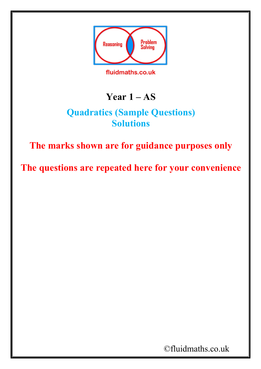

fluidmaths.co.uk

## **Year 1 – AS**

## **Quadratics (Sample Questions) Solutions**

## **The marks shown are for guidance purposes only**

**The questions are repeated here for your convenience**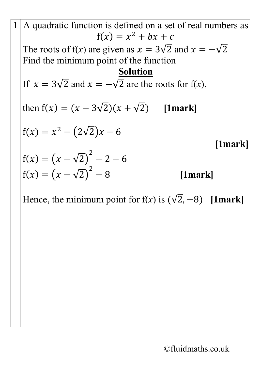A quadratic function is defined on a set of real numbers as  
\n
$$
f(x) = x^2 + bx + c
$$
  
\nThe roots of  $f(x)$  are given as  $x = 3\sqrt{2}$  and  $x = -\sqrt{2}$   
\nFind the minimum point of the function  
\nIf  $x = 3\sqrt{2}$  and  $x = -\sqrt{2}$  are the roots for  $f(x)$ ,  
\nthen  $f(x) = (x - 3\sqrt{2})(x + \sqrt{2})$  [1mark]  
\n $f(x) = x^2 - (2\sqrt{2})x - 6$   
\n[1mark]  
\n $f(x) = (x - \sqrt{2})^2 - 2 - 6$   
\n[1mark]

Hence, the minimum point for  $f(x)$  is  $(\sqrt{2}, -8)$  [1mark]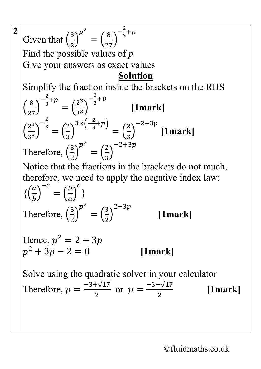2  
\nGiven that 
$$
\left(\frac{3}{2}\right)^{p^2} = \left(\frac{8}{27}\right)^{-\frac{2}{3}+p}
$$
  
\nFind the possible values of p  
\nGive your answers as exact values  
\nSolution  
\nSimplify the fraction inside the brackets on the RHS  
\n $\left(\frac{8}{27}\right)^{-\frac{2}{3}+p} = \left(\frac{2^3}{3^3}\right)^{-\frac{2}{3}+p}$  [1mark]  
\n $\left(\frac{2^3}{3^3}\right)^{-\frac{2}{3}} = \left(\frac{2}{3}\right)^{3 \times \left(-\frac{2}{3}+p\right)} = \left(\frac{2}{3}\right)^{-2+3p}$  [1mark]  
\nTherefore,  $\left(\frac{3}{2}\right)^{p^2} = \left(\frac{2}{3}\right)^{-2+3p}$   
\nNotice that the fractions in the brackets do not much,  
\ntherefore, we need to apply the negative index law:  
\n $\left\{\left(\frac{a}{b}\right)^{-c} = \left(\frac{b}{a}\right)^c\right\}$   
\nTherefore,  $\left(\frac{3}{2}\right)^{p^2} = \left(\frac{3}{2}\right)^{2-3p}$  [1mark]  
\nHence,  $p^2 = 2 - 3p$   
\n $p^2 + 3p - 2 = 0$  [1mark]  
\nSolve using the quadratic solver in your calculator  
\nTherefore,  $p = \frac{-3+\sqrt{17}}{2}$  or  $p = \frac{-3-\sqrt{17}}{2}$  [1mark]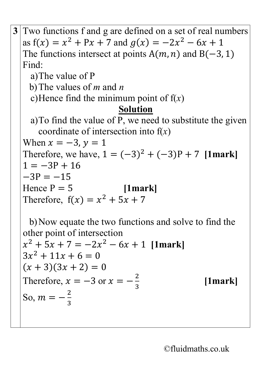**3** Two functions f and g are defined on a set of real numbers as  $f(x) = x^2 + Px + 7$  and  $g(x) = -2x^2 - 6x + 1$ The functions intersect at points  $A(m, n)$  and  $B(-3, 1)$ Find: a)The value of P b)The values of *m* and *n* c)Hence find the minimum point of f(*x*) **Solution** a)To find the value of P, we need to substitute the given coordinate of intersection into f(*x*) When  $x = -3$ ,  $y = 1$ Therefore, we have,  $1 = (-3)^2 + (-3)P + 7$  [1mark]  $1 = -3P + 16$  $-3P = -15$ <br>Hence  $P = 5$ *[1mark]* Therefore,  $f(x) = x^2 + 5x + 7$ 

b)Now equate the two functions and solve to find the other point of intersection  $x^{2} + 5x + 7 = -2x^{2} - 6x + 1$  [1mark]  $3x^2 + 11x + 6 = 0$  $(x + 3)(3x + 2) = 0$ Therefore,  $x = -3$  or  $x = -\frac{2}{3}$ 3 **[1mark]** So,  $m = -\frac{2}{3}$ 3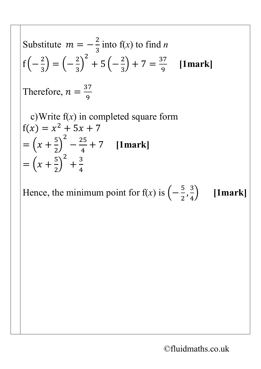Substitute 
$$
m = -\frac{2}{3}
$$
 into f(x) to find *n*  
\n $f(-\frac{2}{3}) = (-\frac{2}{3})^2 + 5(-\frac{2}{3}) + 7 = \frac{37}{9}$  [1mark]  
\nTherefore,  $n = \frac{37}{9}$   
\nc) Write f(x) in completed square form  
\n $f(x) = x^2 + 5x + 7$   
\n $= (x + \frac{5}{2})^2 - \frac{25}{4} + 7$  [1mark]  
\n $= (x + \frac{5}{2})^2 + \frac{3}{4}$ 

Hence, the minimum point for f(*x*) is  $\left(-\frac{5}{2}\right)$  $\frac{1}{2}$ , 3 4 � **[1mark]**

2

4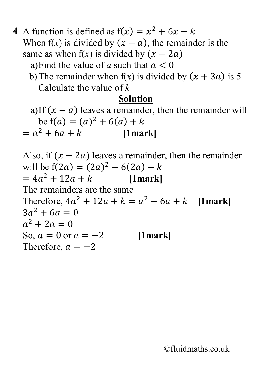**4** A function is defined as  $f(x) = x^2 + 6x + k$ When f(x) is divided by  $(x - a)$ , the remainder is the same as when  $f(x)$  is divided by  $(x - 2a)$ a) Find the value of a such that  $a < 0$ b) The remainder when  $f(x)$  is divided by  $(x + 3a)$  is 5 Calculate the value of *k* **Solution** a)If  $(x - a)$  leaves a remainder, then the remainder will be  $f(a) = (a)^2 + 6(a) + k$ <br> $h^2 + 6a + k$  [1mark]  $= a^2 + 6a + k$ Also, if  $(x - 2a)$  leaves a remainder, then the remainder will be  $f(2a) = (2a)^2 + 6(2a) + k$  $= 4a^2 + 12a + k$  [1mark] The remainders are the same Therefore,  $4a^2 + 12a + k = a^2 + 6a + k$  [1mark]  $3a^2 + 6a = 0$  $a^2 + 2a = 0$ So,  $a = 0$  or  $a = -2$  [1mark] Therefore,  $a = -2$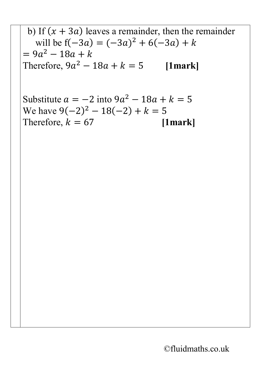b) If 
$$
(x + 3a)
$$
 leaves a remainder, then the remainder  
will be  $f(-3a) = (-3a)^2 + 6(-3a) + k$   
=  $9a^2 - 18a + k$   
Therefore,  $9a^2 - 18a + k = 5$  [1mark]

Substitute  $a = -2$  into  $9a^2 - 18a + k = 5$ We have  $9(-2)^2 - 18(-2) + k = 5$ <br>Therefore,  $k = 67$  [1mark] Therefore,  $k = 67$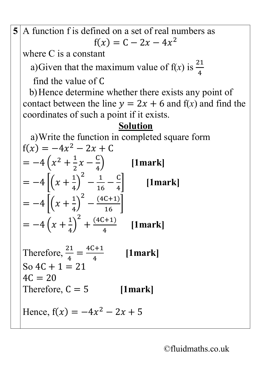**5** A function f is defined on a set of real numbers as  $f(x) = C - 2x - 4x^2$ 

where C is a constant

a)Given that the maximum value of  $f(x)$  is  $\frac{21}{4}$ 4

find the value of C

b)Hence determine whether there exists any point of contact between the line  $y = 2x + 6$  and  $f(x)$  and find the coordinates of such a point if it exists.

## **Solution**

a)Write the function in completed square form  $f(x) = -4x^2 - 2x + C$  $=-4\left(x^2+\frac{1}{2}x-\frac{C}{4}\right)$ 2 4 � **[1mark]**  $=-4\left[\left(x+\frac{1}{4}\right)\right]$ 4  $\int$  $\frac{2}{16} - \frac{1}{4}$ � **[1mark]**  $=-4\left[\left(x+\frac{1}{4}\right)\right]$ 4  $\int$  $\left[\frac{(4C+1)}{16}\right]$  $=-4\left(x+\frac{1}{4}\right)$ 4  $\int$  $^{2}$  +  $\frac{(4C+1)}{4}$ 4 **[1mark]**

Therefore,  $\frac{21}{4}$ 4 = 4C+1 4 **[1mark]** So  $4C + 1 = 21$  $4C = 20$ Therefore,  $C = 5$  [1mark]

Hence,  $f(x) = -4x^2 - 2x + 5$